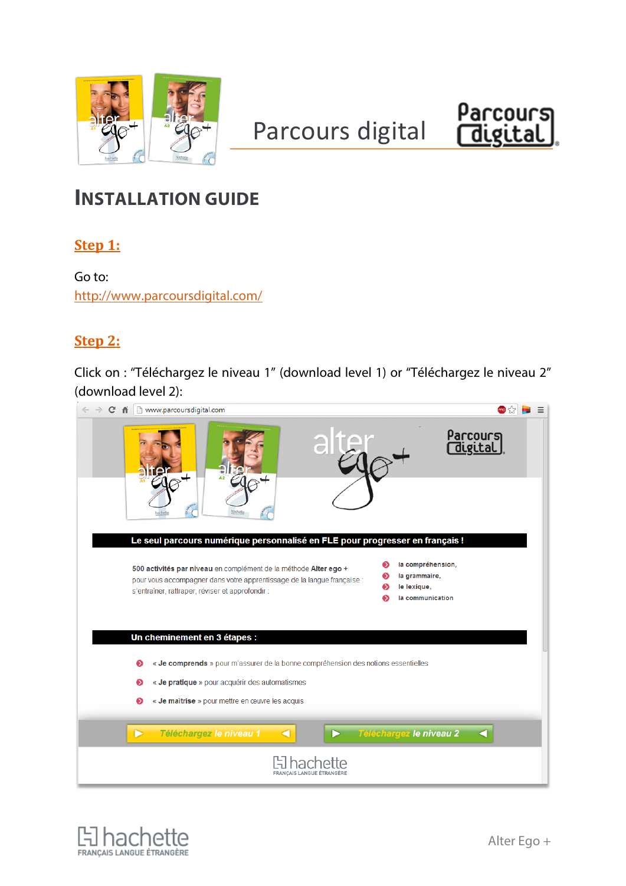

# Parcours digital Parcours



# **INSTALLATION GUIDE**

**Step 1:**

Go to: <http://www.parcoursdigital.com/>

### **Step 2:**

Click on : "Téléchargez le niveau 1" (download level 1) or "Téléchargez le niveau 2" (download level 2):

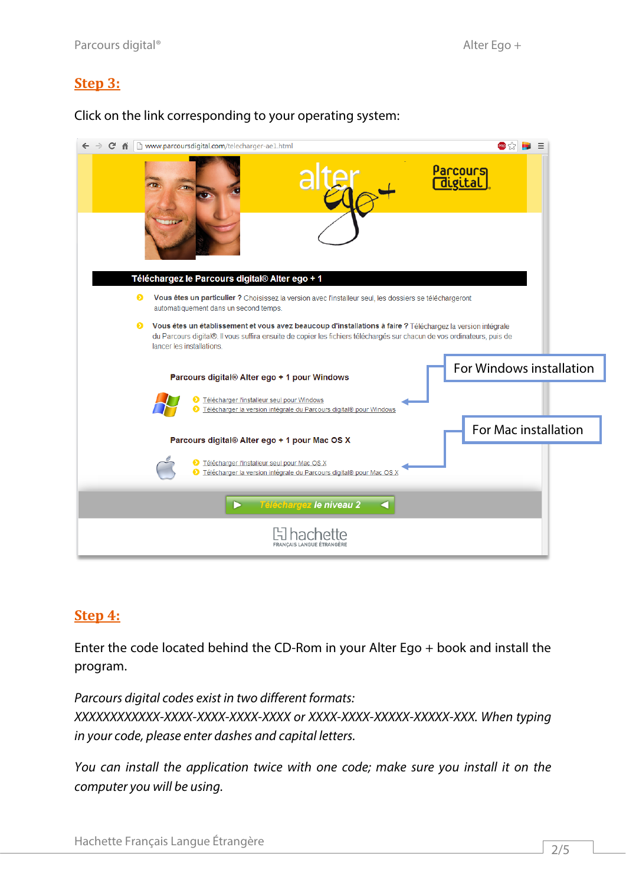#### **Step 3:**

Click on the link corresponding to your operating system:

| C.<br>ffi                      | www.parcoursdigital.com/telecharger-ae1.html                                                                                                                                                                                           |                       |                          |  |
|--------------------------------|----------------------------------------------------------------------------------------------------------------------------------------------------------------------------------------------------------------------------------------|-----------------------|--------------------------|--|
|                                |                                                                                                                                                                                                                                        | Parcours<br>[digital] |                          |  |
|                                | Téléchargez le Parcours digital® Alter ego + 1                                                                                                                                                                                         |                       |                          |  |
| ⋒                              | Vous êtes un particulier ? Choisissez la version avec l'installeur seul, les dossiers se téléchargeront<br>automatiquement dans un second temps.                                                                                       |                       |                          |  |
| ๑<br>lancer les installations. | Vous êtes un établissement et vous avez beaucoup d'installations à faire ? Téléchargez la version intégrale<br>du Parcours digital®. Il vous suffira ensuite de copier les fichiers téléchargés sur chacun de vos ordinateurs, puis de |                       |                          |  |
|                                | Parcours digital® Alter ego + 1 pour Windows                                                                                                                                                                                           |                       | For Windows installation |  |
|                                | Télécharger l'installeur seul pour Windows<br>la Télécharger la version intégrale du Parcours digital® pour Windows                                                                                                                    |                       |                          |  |
|                                | Parcours digital® Alter ego + 1 pour Mac OS X                                                                                                                                                                                          |                       | For Mac installation     |  |
|                                | > Télécharger l'installeur seul pour Mac OS X<br>● Télécharger la version intégrale du Parcours digital® pour Mac OS X                                                                                                                 |                       |                          |  |
|                                | Téléchargez le niveau 2<br>a                                                                                                                                                                                                           |                       |                          |  |
|                                |                                                                                                                                                                                                                                        |                       |                          |  |

#### **Step 4:**

Enter the code located behind the CD-Rom in your Alter Ego + book and install the program.

*Parcours digital codes exist in two different formats: XXXXXXXXXXXX-XXXX-XXXX-XXXX-XXXX or XXXX-XXXX-XXXXX-XXXXX-XXX. When typing in your code, please enter dashes and capital letters.*

*You can install the application twice with one code; make sure you install it on the computer you will be using.*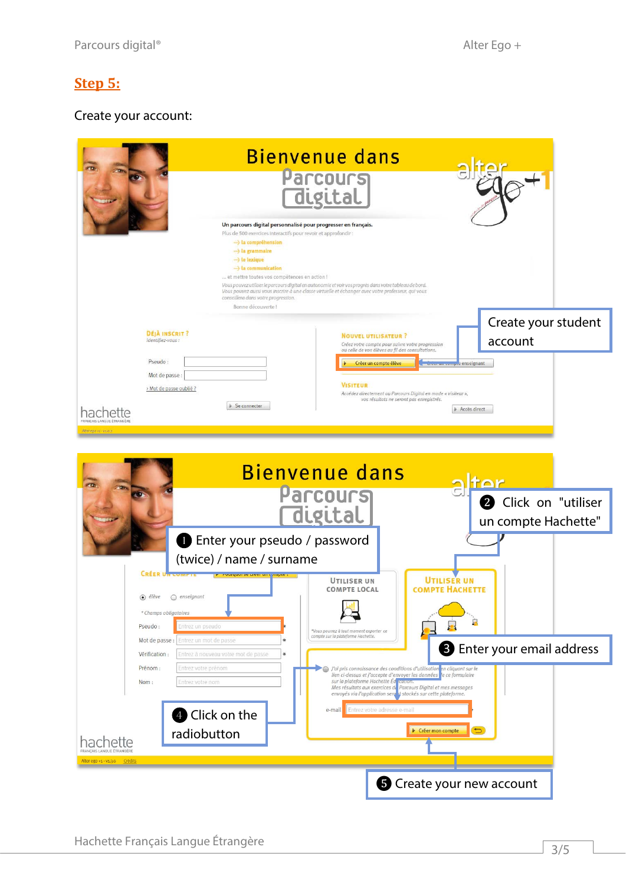# **Step 5:**

# Create your account:

|                                                                                                          | <b>Bienvenue dans</b>                                                                                                                                                                |
|----------------------------------------------------------------------------------------------------------|--------------------------------------------------------------------------------------------------------------------------------------------------------------------------------------|
|                                                                                                          | Parcours<br>digital                                                                                                                                                                  |
| Un parcours digital personnalisé pour progresser en français.                                            |                                                                                                                                                                                      |
| Plus de 500 exercices interactifs pour revoir et approfondir :<br>--- la compréhension<br>} la grammaire |                                                                                                                                                                                      |
| -> le lexique<br>--- la communication                                                                    |                                                                                                                                                                                      |
| et mettre toutes vos compêtences en action !                                                             | Vous pouvez utiliser le parcours digital en autonomie et voir vos progrès dans votre tableau de bord.                                                                                |
| conseillera dans votre progression.<br>Bonne découverte !                                                | Vous pouvez aussi vous inscrire à une classe virtuelle et échanger avec votre professeur, qui vous                                                                                   |
|                                                                                                          | Create your student                                                                                                                                                                  |
| <b>DÉJÀ INSCRIT?</b><br>Identifiez-vous:                                                                 | <b>NOUVEL UTILISATEUR?</b><br>account<br>Créez votre compte pour suivre votre progression                                                                                            |
| Pseudo:                                                                                                  | ou celle de vos élèves au fil des consultations.<br>Créer un compte élève<br>creer on comple enseignant                                                                              |
| Mot de passe :                                                                                           |                                                                                                                                                                                      |
| > Mot de passe oublié ?                                                                                  | <b>VISITEUR</b><br>Accédez directement au Parcours Digital en mode « visiteur »,<br>vos résultats ne seront pas enregistrés.                                                         |
| ▶ Se connecter<br>hachette                                                                               | Accès direct                                                                                                                                                                         |
| Alter egg +1 - vs.0.2                                                                                    |                                                                                                                                                                                      |
|                                                                                                          |                                                                                                                                                                                      |
|                                                                                                          | <b>Bienvenue dans</b>                                                                                                                                                                |
|                                                                                                          | tor<br>Parcours                                                                                                                                                                      |
|                                                                                                          | <b>2</b> Click on "utiliser                                                                                                                                                          |
|                                                                                                          | digital<br>un compte Hachette"                                                                                                                                                       |
| <b>D</b> Enter your pseudo / password                                                                    |                                                                                                                                                                                      |
| (twice) / name / surname                                                                                 |                                                                                                                                                                                      |
| <b>CRÉER I</b>                                                                                           | <b>UTILISER UN</b><br><b>UTILISER UN</b><br><b>COMPTE HACHETTE</b><br><b>COMPTE LOCAL</b>                                                                                            |
| $\odot$ élève<br>$\bigcirc$ enseignant                                                                   |                                                                                                                                                                                      |
| * Champs obligatoires<br>Pseudo:<br>Entrez un pseudo                                                     | д<br>靏                                                                                                                                                                               |
| Entrez un mot de passe<br>Mot de passe :                                                                 | *Vous pourrez à tout moment exporter ce<br>compte sur la plateforme Hachette.                                                                                                        |
| Vérification :<br>Entrez à nouveau votre mot de passe                                                    | <b>B</b> Enter your email address                                                                                                                                                    |
| Prénom :<br>Entrez votre prénom<br>Nom:<br>Entrez votre nom                                              | J'ai pris connaissance des conditions d'utilisation en cliquant sur le<br>lien ci-dessus et j'accepte d'envoyer les données. e ce formulaire<br>sur la plateforme Hachette Éd cauon. |
|                                                                                                          | Mes résultats aux exercices du Parcours Digital et mes messages<br>envoyés via l'application sero t, stockés sur cette plateforme.                                                   |
| <b>4</b> Click on the                                                                                    | Entrez votre adresse e-mail<br>e-mail                                                                                                                                                |
| radiobutton                                                                                              | $\overline{C}$<br>Créer mon compte                                                                                                                                                   |
| hachette<br><b><i>FRANCAIS LANGUE ÉTRANGÉE</i></b>                                                       |                                                                                                                                                                                      |
| Alter ego +1 - v1.3.0 Crédits                                                                            |                                                                                                                                                                                      |
|                                                                                                          | <b>S</b> Create your new account                                                                                                                                                     |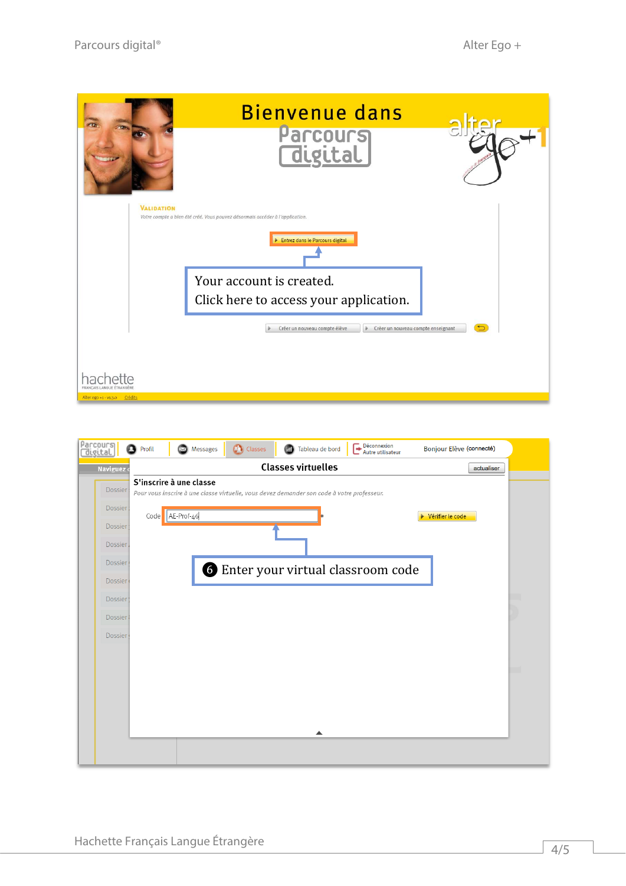